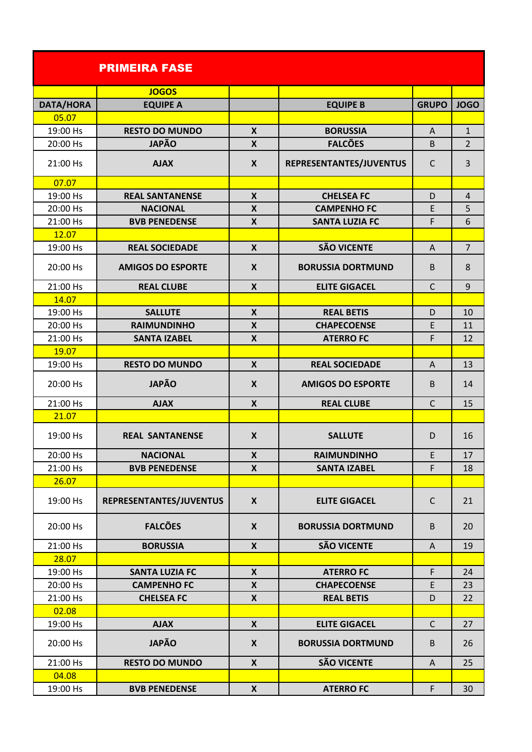|           | <b>PRIMEIRA FASE</b>     |                    |                          |              |                |
|-----------|--------------------------|--------------------|--------------------------|--------------|----------------|
|           | <b>JOGOS</b>             |                    |                          |              |                |
| DATA/HORA | <b>EQUIPE A</b>          |                    | <b>EQUIPE B</b>          | <b>GRUPO</b> | <b>JOGO</b>    |
| 05.07     |                          |                    |                          |              |                |
| 19:00 Hs  | <b>RESTO DO MUNDO</b>    | $\boldsymbol{X}$   | <b>BORUSSIA</b>          | A            | $\mathbf{1}$   |
| 20:00 Hs  | <b>JAPÃO</b>             | X                  | <b>FALCÕES</b>           | B            | 2              |
| 21:00 Hs  | <b>AJAX</b>              | $\mathbf{x}$       | REPRESENTANTES/JUVENTUS  | $\mathsf{C}$ | 3              |
| 07.07     |                          |                    |                          |              |                |
| 19:00 Hs  | <b>REAL SANTANENSE</b>   | $\boldsymbol{X}$   | <b>CHELSEA FC</b>        | D            | $\overline{4}$ |
| 20:00 Hs  | <b>NACIONAL</b>          | $\boldsymbol{X}$   | <b>CAMPENHO FC</b>       | E            | 5              |
| 21:00 Hs  | <b>BVB PENEDENSE</b>     | X                  | <b>SANTA LUZIA FC</b>    | F            | 6              |
| 12.07     |                          |                    |                          |              |                |
| 19:00 Hs  | <b>REAL SOCIEDADE</b>    | $\boldsymbol{X}$   | <b>SÃO VICENTE</b>       | A            | $\overline{7}$ |
| 20:00 Hs  | <b>AMIGOS DO ESPORTE</b> | $\boldsymbol{X}$   | <b>BORUSSIA DORTMUND</b> | B            | 8              |
| 21:00 Hs  | <b>REAL CLUBE</b>        | $\boldsymbol{X}$   | <b>ELITE GIGACEL</b>     | $\mathsf{C}$ | 9              |
| 14.07     |                          |                    |                          |              |                |
| 19:00 Hs  | <b>SALLUTE</b>           | $\boldsymbol{X}$   | <b>REAL BETIS</b>        | D            | 10             |
| 20:00 Hs  | <b>RAIMUNDINHO</b>       | X                  | <b>CHAPECOENSE</b>       | E            | 11             |
| 21:00 Hs  | <b>SANTA IZABEL</b>      | $\boldsymbol{X}$   | <b>ATERROFC</b>          | F            | 12             |
| 19.07     |                          |                    |                          |              |                |
| 19:00 Hs  | <b>RESTO DO MUNDO</b>    | $\boldsymbol{X}$   | <b>REAL SOCIEDADE</b>    | A            | 13             |
| 20:00 Hs  | <b>JAPÃO</b>             | $\boldsymbol{X}$   | <b>AMIGOS DO ESPORTE</b> | B            | 14             |
| 21:00 Hs  | <b>AJAX</b>              | $\mathsf{x}$       | <b>REAL CLUBE</b>        | $\mathsf{C}$ | 15             |
| 21.07     |                          |                    |                          |              |                |
| 19:00 Hs  | <b>REAL SANTANENSE</b>   | $\boldsymbol{X}$   | <b>SALLUTE</b>           | D            | 16             |
| 20:00 Hs  | <b>NACIONAL</b>          | X                  | <b>RAIMUNDINHO</b>       | E            | 17             |
| 21:00 Hs  | <b>BVB PENEDENSE</b>     | X                  | <b>SANTA IZABEL</b>      | F            | 18             |
| 26.07     |                          |                    |                          |              |                |
| 19:00 Hs  | REPRESENTANTES/JUVENTUS  | $\boldsymbol{X}$   | <b>ELITE GIGACEL</b>     | $\mathsf{C}$ | 21             |
| 20:00 Hs  | <b>FALCÕES</b>           | X                  | <b>BORUSSIA DORTMUND</b> | B            | 20             |
| 21:00 Hs  | <b>BORUSSIA</b>          | $\boldsymbol{X}$   | <b>SÃO VICENTE</b>       | A            | 19             |
| 28.07     |                          |                    |                          |              |                |
| 19:00 Hs  | <b>SANTA LUZIA FC</b>    | X                  | <b>ATERROFC</b>          | F            | 24             |
| 20:00 Hs  | <b>CAMPENHO FC</b>       | $\boldsymbol{X}$   | <b>CHAPECOENSE</b>       | E            | 23             |
| 21:00 Hs  | <b>CHELSEA FC</b>        | $\pmb{\mathsf{X}}$ | <b>REAL BETIS</b>        | D            | 22             |
| 02.08     |                          |                    |                          |              |                |
| 19:00 Hs  | <b>AJAX</b>              | $\boldsymbol{X}$   | <b>ELITE GIGACEL</b>     | $\mathsf{C}$ | 27             |
| 20:00 Hs  | <b>JAPÃO</b>             | X                  | <b>BORUSSIA DORTMUND</b> | B            | 26             |
| 21:00 Hs  | <b>RESTO DO MUNDO</b>    | $\boldsymbol{X}$   | <b>SÃO VICENTE</b>       | A            | 25             |
| 04.08     |                          |                    |                          |              |                |
| 19:00 Hs  | <b>BVB PENEDENSE</b>     | X                  | <b>ATERROFC</b>          | F.           | 30             |